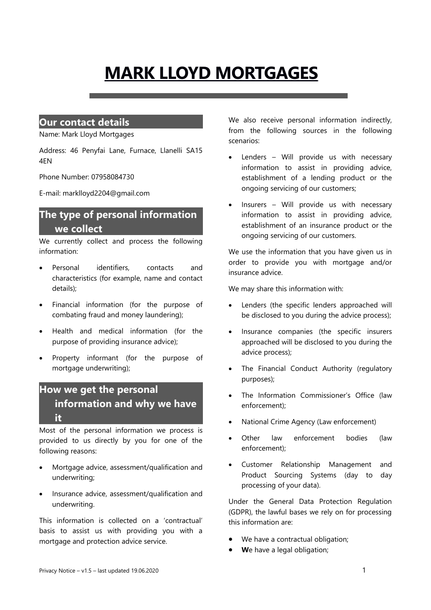# **MARK LLOYD MORTGAGES**

#### **Our contact details**

Name: Mark Lloyd Mortgages

Address: 46 Penyfai Lane, Furnace, Llanelli SA15 4EN

Phone Number: 07958084730

E-mail: marklloyd2204@gmail.com

## **The type of personal information we collect**

We currently collect and process the following information:

- Personal identifiers, contacts and characteristics (for example, name and contact details);
- Financial information (for the purpose of combating fraud and money laundering);
- Health and medical information (for the purpose of providing insurance advice);
- Property informant (for the purpose of mortgage underwriting);

#### **How we get the personal information and why we have it**

Most of the personal information we process is provided to us directly by you for one of the following reasons:

- Mortgage advice, assessment/qualification and underwriting;
- Insurance advice, assessment/qualification and underwriting.

This information is collected on a 'contractual' basis to assist us with providing you with a mortgage and protection advice service.

We also receive personal information indirectly, from the following sources in the following scenarios:

- Lenders Will provide us with necessary information to assist in providing advice, establishment of a lending product or the ongoing servicing of our customers;
- Insurers Will provide us with necessary information to assist in providing advice, establishment of an insurance product or the ongoing servicing of our customers.

We use the information that you have given us in order to provide you with mortgage and/or insurance advice.

We may share this information with:

- Lenders (the specific lenders approached will be disclosed to you during the advice process);
- Insurance companies (the specific insurers approached will be disclosed to you during the advice process);
- The Financial Conduct Authority (regulatory purposes);
- The Information Commissioner's Office (law enforcement);
- National Crime Agency (Law enforcement)
- Other law enforcement bodies (law enforcement);
- Customer Relationship Management and Product Sourcing Systems (day to day processing of your data).

Under the General Data Protection Regulation (GDPR), the lawful bases we rely on for processing this information are:

- We have a contractual obligation;
- **W**e have a legal obligation;